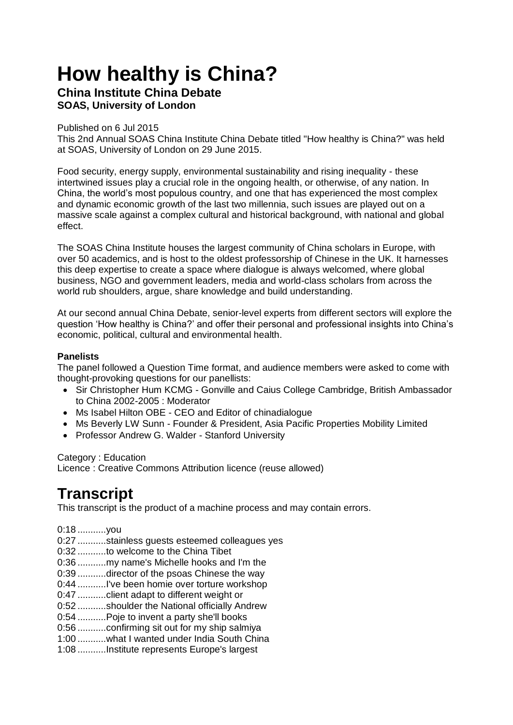## **How healthy is China?**

## **China Institute China Debate SOAS, University of London**

Published on 6 Jul 2015

This 2nd Annual SOAS China Institute China Debate titled "How healthy is China?" was held at SOAS, University of London on 29 June 2015.

Food security, energy supply, environmental sustainability and rising inequality - these intertwined issues play a crucial role in the ongoing health, or otherwise, of any nation. In China, the world's most populous country, and one that has experienced the most complex and dynamic economic growth of the last two millennia, such issues are played out on a massive scale against a complex cultural and historical background, with national and global effect.

The SOAS China Institute houses the largest community of China scholars in Europe, with over 50 academics, and is host to the oldest professorship of Chinese in the UK. It harnesses this deep expertise to create a space where dialogue is always welcomed, where global business, NGO and government leaders, media and world-class scholars from across the world rub shoulders, argue, share knowledge and build understanding.

At our second annual China Debate, senior-level experts from different sectors will explore the question 'How healthy is China?' and offer their personal and professional insights into China's economic, political, cultural and environmental health.

## **Panelists**

The panel followed a Question Time format, and audience members were asked to come with thought-provoking questions for our panellists:

- Sir Christopher Hum KCMG Gonville and Caius College Cambridge, British Ambassador to China 2002-2005 : Moderator
- Ms Isabel Hilton OBE CEO and Editor of chinadialogue
- Ms Beverly LW Sunn Founder & President, Asia Pacific Properties Mobility Limited
- Professor Andrew G. Walder Stanford University

Category : Education Licence : Creative Commons Attribution licence (reuse allowed)

## **Transcript**

This transcript is the product of a machine process and may contain errors.

- 0:18 ...........you
- 0:27 ...........stainless guests esteemed colleagues yes
- 0:32 ...........to welcome to the China Tibet
- 0:36 ...........my name's Michelle hooks and I'm the
- 0:39 ...........director of the psoas Chinese the way
- 0:44 ...........I've been homie over torture workshop
- 0:47 ...........client adapt to different weight or
- 0:52 ...........shoulder the National officially Andrew
- 0:54 ...........Poje to invent a party she'll books
- 0:56 ...........confirming sit out for my ship salmiya
- 1:00 ...........what I wanted under India South China
- 1:08 ...........Institute represents Europe's largest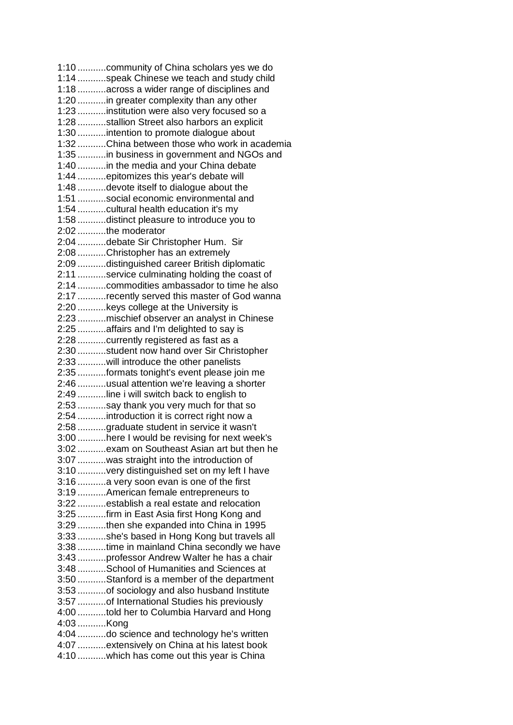1:10 ...........community of China scholars yes we do 1:14 ...........speak Chinese we teach and study child 1:18 ...........across a wider range of disciplines and 1:20 ...........in greater complexity than any other 1:23 ...........institution were also very focused so a 1:28 ...........stallion Street also harbors an explicit 1:30 ...........intention to promote dialogue about 1:32 ...........China between those who work in academia 1:35 ...........in business in government and NGOs and 1:40 ...........in the media and your China debate 1:44 ...........epitomizes this year's debate will 1:48 ...........devote itself to dialogue about the 1:51 ...........social economic environmental and 1:54 ...........cultural health education it's my 1:58 ...........distinct pleasure to introduce you to 2:02 ...........the moderator 2:04 ...........debate Sir Christopher Hum. Sir 2:08 ...........Christopher has an extremely 2:09 ...........distinguished career British diplomatic 2:11 ...........service culminating holding the coast of 2:14 ...........commodities ambassador to time he also 2:17 ...........recently served this master of God wanna 2:20 ...........keys college at the University is 2:23 ...........mischief observer an analyst in Chinese 2:25 ...........affairs and I'm delighted to say is 2:28 ...........currently registered as fast as a 2:30 ...........student now hand over Sir Christopher 2:33 ...........will introduce the other panelists 2:35 ...........formats tonight's event please join me 2:46 ...........usual attention we're leaving a shorter 2:49 ...........line i will switch back to english to 2:53 ...........say thank you very much for that so 2:54 ...........introduction it is correct right now a 2:58 ...........graduate student in service it wasn't 3:00 ...........here I would be revising for next week's 3:02 ...........exam on Southeast Asian art but then he 3:07 ...........was straight into the introduction of 3:10 ...........very distinguished set on my left I have 3:16 ...........a very soon evan is one of the first 3:19 ...........American female entrepreneurs to 3:22 ...........establish a real estate and relocation 3:25 ...........firm in East Asia first Hong Kong and 3:29 ...........then she expanded into China in 1995 3:33 ...........she's based in Hong Kong but travels all 3:38 ...........time in mainland China secondly we have 3:43 ...........professor Andrew Walter he has a chair 3:48 ...........School of Humanities and Sciences at 3:50 ...........Stanford is a member of the department 3:53 ...........of sociology and also husband Institute 3:57 ...........of International Studies his previously 4:00 ...........told her to Columbia Harvard and Hong 4:03 ...........Kong 4:04 ...........do science and technology he's written 4:07 ...........extensively on China at his latest book 4:10 ...........which has come out this year is China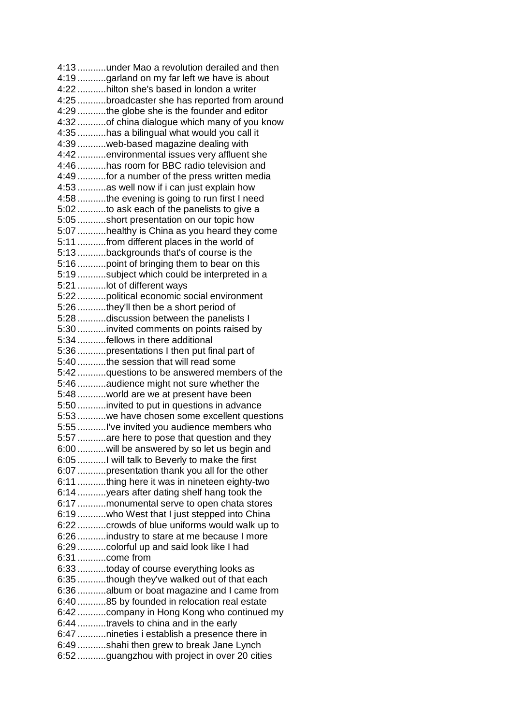4:13 ...........under Mao a revolution derailed and then 4:19 ...........garland on my far left we have is about 4:22 ...........hilton she's based in london a writer 4:25 ...........broadcaster she has reported from around 4:29 ...........the globe she is the founder and editor 4:32 ...........of china dialogue which many of you know 4:35 ...........has a bilingual what would you call it 4:39 ...........web-based magazine dealing with 4:42 ...........environmental issues very affluent she 4:46 ...........has room for BBC radio television and 4:49 ...........for a number of the press written media 4:53 ...........as well now if i can just explain how 4:58 ...........the evening is going to run first I need 5:02 ...........to ask each of the panelists to give a 5:05 ...........short presentation on our topic how 5:07 ...........healthy is China as you heard they come 5:11 ...........from different places in the world of 5:13 ...........backgrounds that's of course is the 5:16 ...........point of bringing them to bear on this 5:19 ...........subject which could be interpreted in a 5:21 ...........lot of different ways 5:22 ...........political economic social environment 5:26 ...........they'll then be a short period of 5:28 ...........discussion between the panelists I 5:30 ...........invited comments on points raised by 5:34 ...........fellows in there additional 5:36 ...........presentations I then put final part of 5:40 ...........the session that will read some 5:42 ...........questions to be answered members of the 5:46 ...........audience might not sure whether the 5:48 ...........world are we at present have been 5:50 ...........invited to put in questions in advance 5:53 ...........we have chosen some excellent questions 5:55 ...........I've invited you audience members who 5:57 ...........are here to pose that question and they 6:00 ...........will be answered by so let us begin and 6:05 ...........I will talk to Beverly to make the first 6:07 ...........presentation thank you all for the other 6:11 ...........thing here it was in nineteen eighty-two 6:14 ...........years after dating shelf hang took the 6:17 ...........monumental serve to open chata stores 6:19 ...........who West that I just stepped into China 6:22 ...........crowds of blue uniforms would walk up to 6:26 ...........industry to stare at me because I more 6:29 ...........colorful up and said look like I had 6:31 ...........come from 6:33 ...........today of course everything looks as 6:35 ...........though they've walked out of that each 6:36 ...........album or boat magazine and I came from 6:40 ...........85 by founded in relocation real estate 6:42 ...........company in Hong Kong who continued my 6:44 ...........travels to china and in the early 6:47 ...........nineties i establish a presence there in 6:49 ...........shahi then grew to break Jane Lynch 6:52 ...........guangzhou with project in over 20 cities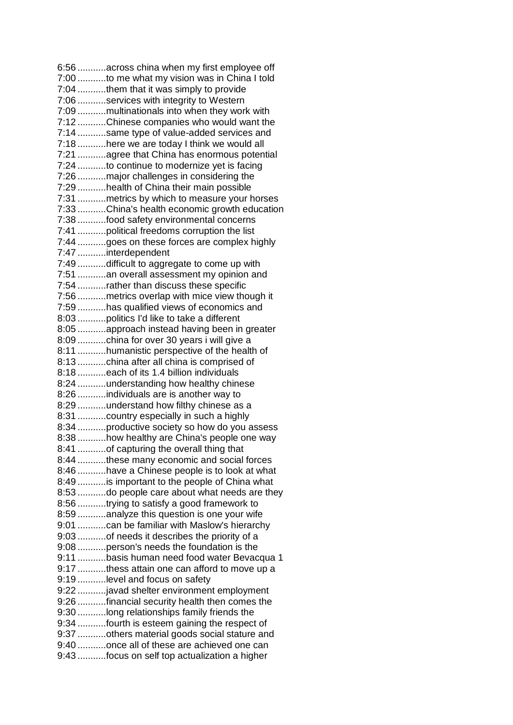6:56 ...........across china when my first employee off 7:00 ...........to me what my vision was in China I told 7:04 ...........them that it was simply to provide 7:06 ...........services with integrity to Western 7:09 ...........multinationals into when they work with 7:12 ...........Chinese companies who would want the 7:14 ...........same type of value-added services and 7:18 ...........here we are today I think we would all 7:21 ...........agree that China has enormous potential 7:24 ...........to continue to modernize yet is facing 7:26 ...........major challenges in considering the 7:29 ...........health of China their main possible 7:31 ...........metrics by which to measure your horses 7:33 ...........China's health economic growth education 7:38 ...........food safety environmental concerns 7:41 ...........political freedoms corruption the list 7:44 ...........goes on these forces are complex highly 7:47 ...........interdependent 7:49 ...........difficult to aggregate to come up with 7:51 ...........an overall assessment my opinion and 7:54 ...........rather than discuss these specific 7:56 ...........metrics overlap with mice view though it 7:59 ...........has qualified views of economics and 8:03 ...........politics I'd like to take a different 8:05 ...........approach instead having been in greater 8:09 ...........china for over 30 years i will give a 8:11 ...........humanistic perspective of the health of 8:13 ...........china after all china is comprised of 8:18 ...........each of its 1.4 billion individuals 8:24 ...........understanding how healthy chinese 8:26 ...........individuals are is another way to 8:29 ..........understand how filthy chinese as a 8:31 ...........country especially in such a highly 8:34 ...........productive society so how do you assess 8:38 ...........how healthy are China's people one way 8:41 ...........of capturing the overall thing that 8:44 ...........these many economic and social forces 8:46 ...........have a Chinese people is to look at what 8:49 ...........is important to the people of China what 8:53 ...........do people care about what needs are they 8:56 ...........trying to satisfy a good framework to 8:59 ...........analyze this question is one your wife 9:01 ...........can be familiar with Maslow's hierarchy 9:03 ...........of needs it describes the priority of a 9:08 ...........person's needs the foundation is the 9:11 ...........basis human need food water Bevacqua 1 9:17 ...........thess attain one can afford to move up a 9:19 ...........level and focus on safety 9:22 ...........javad shelter environment employment 9:26 ...........financial security health then comes the 9:30 ...........long relationships family friends the 9:34 ...........fourth is esteem gaining the respect of 9:37 ...........others material goods social stature and 9:40 ...........once all of these are achieved one can 9:43 ...........focus on self top actualization a higher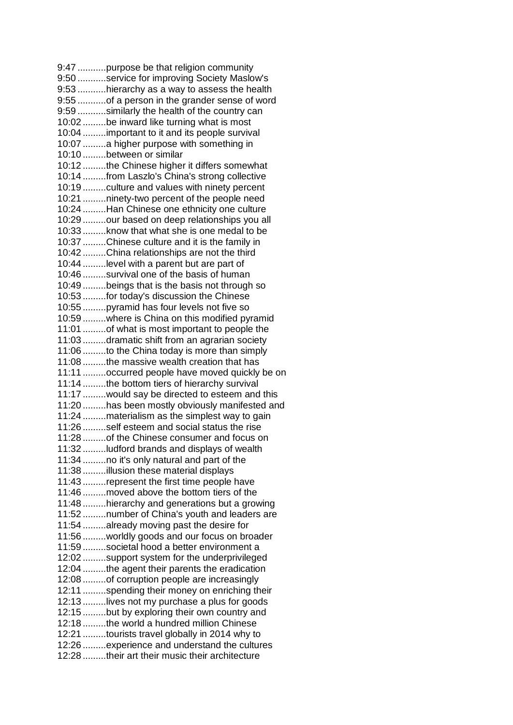9:47 ...........purpose be that religion community 9:50 ...........service for improving Society Maslow's 9:53 ...........hierarchy as a way to assess the health 9:55 ...........of a person in the grander sense of word 9:59 ...........similarly the health of the country can 10:02 .........be inward like turning what is most 10:04 .........important to it and its people survival 10:07 .........a higher purpose with something in 10:10 .........between or similar 10:12 .........the Chinese higher it differs somewhat 10:14 .........from Laszlo's China's strong collective 10:19 .........culture and values with ninety percent 10:21 .........ninety-two percent of the people need 10:24 .........Han Chinese one ethnicity one culture 10:29 .........our based on deep relationships you all 10:33 .........know that what she is one medal to be 10:37 .........Chinese culture and it is the family in 10:42 .........China relationships are not the third 10:44 .........level with a parent but are part of 10:46 .........survival one of the basis of human 10:49 .........beings that is the basis not through so 10:53 .........for today's discussion the Chinese 10:55 .........pyramid has four levels not five so 10:59 .........where is China on this modified pyramid 11:01 .........of what is most important to people the 11:03 .........dramatic shift from an agrarian society 11:06 .........to the China today is more than simply 11:08 .........the massive wealth creation that has 11:11 .........occurred people have moved quickly be on 11:14 .........the bottom tiers of hierarchy survival 11:17 .........would say be directed to esteem and this 11:20 .........has been mostly obviously manifested and 11:24 .........materialism as the simplest way to gain 11:26 .........self esteem and social status the rise 11:28 .........of the Chinese consumer and focus on 11:32 .........ludford brands and displays of wealth 11:34 .........no it's only natural and part of the 11:38 .........illusion these material displays 11:43 .........represent the first time people have 11:46 .........moved above the bottom tiers of the 11:48 .........hierarchy and generations but a growing 11:52 .........number of China's youth and leaders are 11:54 .........already moving past the desire for 11:56 .........worldly goods and our focus on broader 11:59 .........societal hood a better environment a 12:02 .........support system for the underprivileged 12:04 .........the agent their parents the eradication 12:08 .........of corruption people are increasingly 12:11 .........spending their money on enriching their 12:13 .........lives not my purchase a plus for goods 12:15 .........but by exploring their own country and 12:18 .........the world a hundred million Chinese 12:21 .........tourists travel globally in 2014 why to 12:26 .........experience and understand the cultures 12:28 .........their art their music their architecture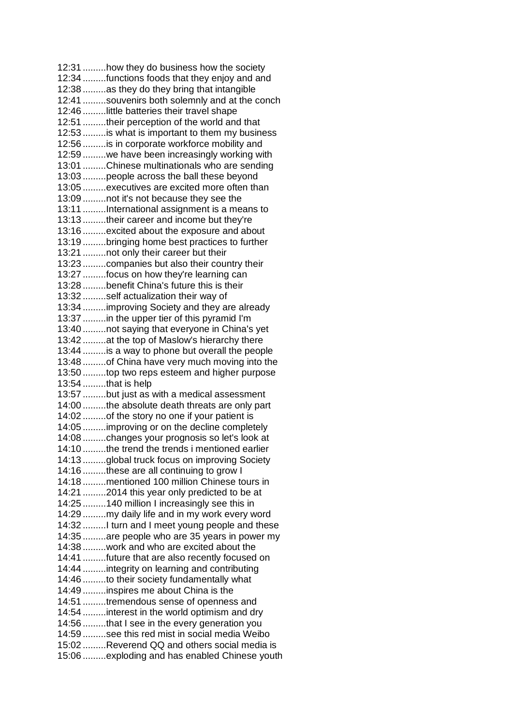12:31 .........how they do business how the society 12:34 .........functions foods that they enjoy and and 12:38 .........as they do they bring that intangible 12:41 .........souvenirs both solemnly and at the conch 12:46 .........little batteries their travel shape 12:51 .........their perception of the world and that 12:53 .........is what is important to them my business 12:56 .........is in corporate workforce mobility and 12:59 .........we have been increasingly working with 13:01 .........Chinese multinationals who are sending 13:03 .........people across the ball these beyond 13:05 .........executives are excited more often than 13:09 .........not it's not because they see the 13:11 .........International assignment is a means to 13:13 .........their career and income but they're 13:16 .........excited about the exposure and about 13:19 .........bringing home best practices to further 13:21 .........not only their career but their 13:23 .........companies but also their country their 13:27 .........focus on how they're learning can 13:28 .........benefit China's future this is their 13:32 .........self actualization their way of 13:34 .........improving Society and they are already 13:37 .........in the upper tier of this pyramid I'm 13:40 .........not saying that everyone in China's yet 13:42 .........at the top of Maslow's hierarchy there 13:44 .........is a way to phone but overall the people 13:48 .........of China have very much moving into the 13:50 .........top two reps esteem and higher purpose 13:54 .........that is help 13:57 .........but just as with a medical assessment 14:00 .........the absolute death threats are only part 14:02 .........of the story no one if your patient is 14:05 .........improving or on the decline completely 14:08 .........changes your prognosis so let's look at 14:10 .........the trend the trends i mentioned earlier 14:13 .........global truck focus on improving Society 14:16 .........these are all continuing to grow I 14:18 .........mentioned 100 million Chinese tours in 14:21 .........2014 this year only predicted to be at 14:25 .........140 million I increasingly see this in 14:29 .........my daily life and in my work every word 14:32 .........I turn and I meet young people and these 14:35 .........are people who are 35 years in power my 14:38 .........work and who are excited about the 14:41 .........future that are also recently focused on 14:44 .........integrity on learning and contributing 14:46 .........to their society fundamentally what 14:49 .........inspires me about China is the 14:51 .........tremendous sense of openness and 14:54 .........interest in the world optimism and dry 14:56 .........that I see in the every generation you 14:59 .........see this red mist in social media Weibo 15:02 .........Reverend QQ and others social media is 15:06 .........exploding and has enabled Chinese youth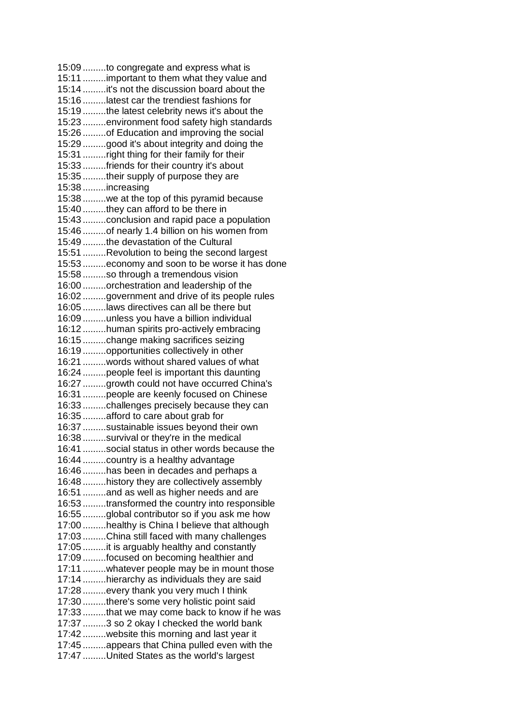15:09 .........to congregate and express what is 15:11 .........important to them what they value and 15:14 .........it's not the discussion board about the 15:16 .........latest car the trendiest fashions for 15:19 .........the latest celebrity news it's about the 15:23 .........environment food safety high standards 15:26 .........of Education and improving the social 15:29 .........good it's about integrity and doing the 15:31 .........right thing for their family for their 15:33 .........friends for their country it's about 15:35 .........their supply of purpose they are 15:38 .........increasing 15:38 .........we at the top of this pyramid because 15:40 .........they can afford to be there in 15:43 .........conclusion and rapid pace a population 15:46 .........of nearly 1.4 billion on his women from 15:49 .........the devastation of the Cultural 15:51 .........Revolution to being the second largest 15:53 .........economy and soon to be worse it has done 15:58 .........so through a tremendous vision 16:00 .........orchestration and leadership of the 16:02 .........government and drive of its people rules 16:05 .........laws directives can all be there but 16:09 .........unless you have a billion individual 16:12 .........human spirits pro-actively embracing 16:15 .........change making sacrifices seizing 16:19 .........opportunities collectively in other 16:21 .........words without shared values of what 16:24 .........people feel is important this daunting 16:27 .........growth could not have occurred China's 16:31 .........people are keenly focused on Chinese 16:33 .........challenges precisely because they can 16:35 .........afford to care about grab for 16:37 .........sustainable issues beyond their own 16:38 .........survival or they're in the medical 16:41 .........social status in other words because the 16:44 .........country is a healthy advantage 16:46 .........has been in decades and perhaps a 16:48 .........history they are collectively assembly 16:51 .........and as well as higher needs and are 16:53 .........transformed the country into responsible 16:55 .........global contributor so if you ask me how 17:00 .........healthy is China I believe that although 17:03 .........China still faced with many challenges 17:05 .........it is arguably healthy and constantly 17:09 .........focused on becoming healthier and 17:11 .........whatever people may be in mount those 17:14 .........hierarchy as individuals they are said 17:28 .........every thank you very much I think 17:30 .........there's some very holistic point said 17:33 .........that we may come back to know if he was 17:37 .........3 so 2 okay I checked the world bank 17:42 .........website this morning and last year it 17:45 .........appears that China pulled even with the 17:47 .........United States as the world's largest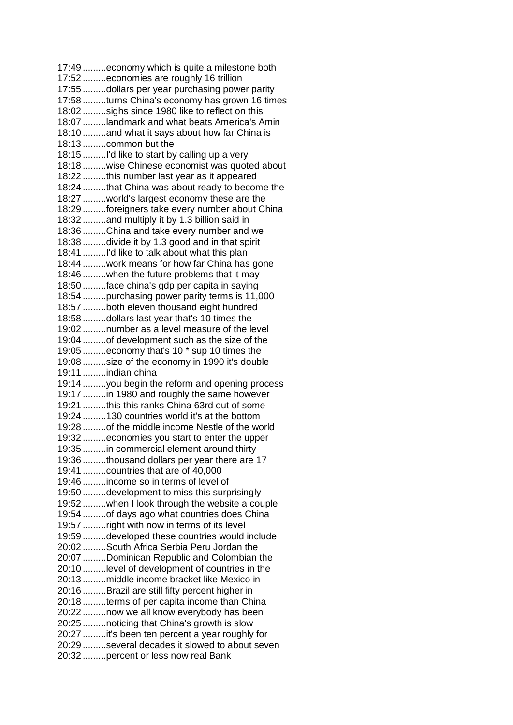17:49 .........economy which is quite a milestone both 17:52 .........economies are roughly 16 trillion 17:55 .........dollars per year purchasing power parity 17:58 .........turns China's economy has grown 16 times 18:02 .........sighs since 1980 like to reflect on this 18:07 .........landmark and what beats America's Amin 18:10 .........and what it says about how far China is 18:13 .........common but the 18:15 .........I'd like to start by calling up a very 18:18 .........wise Chinese economist was quoted about 18:22 .........this number last year as it appeared 18:24 .........that China was about ready to become the 18:27 .........world's largest economy these are the 18:29 .........foreigners take every number about China 18:32 .........and multiply it by 1.3 billion said in 18:36 .........China and take every number and we 18:38 .........divide it by 1.3 good and in that spirit 18:41 .........I'd like to talk about what this plan 18:44 .........work means for how far China has gone 18:46 .........when the future problems that it may 18:50 .........face china's gdp per capita in saying 18:54 .........purchasing power parity terms is 11,000 18:57 .........both eleven thousand eight hundred 18:58 .........dollars last year that's 10 times the 19:02 .........number as a level measure of the level 19:04 .........of development such as the size of the 19:05 .........economy that's 10 \* sup 10 times the 19:08 .........size of the economy in 1990 it's double 19:11 .........indian china 19:14 .........you begin the reform and opening process 19:17 .........in 1980 and roughly the same however 19:21 .........this this ranks China 63rd out of some 19:24 .........130 countries world it's at the bottom 19:28 .........of the middle income Nestle of the world 19:32 .........economies you start to enter the upper 19:35 .........in commercial element around thirty 19:36 .........thousand dollars per year there are 17 19:41 .........countries that are of 40,000 19:46 .........income so in terms of level of 19:50 .........development to miss this surprisingly 19:52 .........when I look through the website a couple 19:54 .........of days ago what countries does China 19:57 .........right with now in terms of its level 19:59 .........developed these countries would include 20:02 .........South Africa Serbia Peru Jordan the 20:07 .........Dominican Republic and Colombian the 20:10 .........level of development of countries in the 20:13 .........middle income bracket like Mexico in 20:16 .........Brazil are still fifty percent higher in 20:18 .........terms of per capita income than China 20:22 .........now we all know everybody has been 20:25 .........noticing that China's growth is slow 20:27 .........it's been ten percent a year roughly for 20:29 .........several decades it slowed to about seven 20:32 .........percent or less now real Bank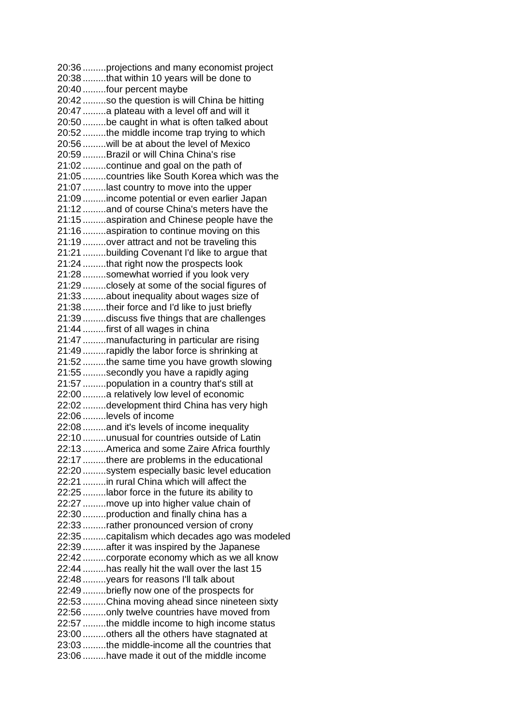20:36 .........projections and many economist project 20:38 .........that within 10 years will be done to 20:40 .........four percent maybe 20:42 .........so the question is will China be hitting 20:47 .........a plateau with a level off and will it 20:50 .........be caught in what is often talked about 20:52 .........the middle income trap trying to which 20:56 .........will be at about the level of Mexico 20:59 .........Brazil or will China China's rise 21:02 .........continue and goal on the path of 21:05 .........countries like South Korea which was the 21:07 .........last country to move into the upper 21:09 .........income potential or even earlier Japan 21:12 .........and of course China's meters have the 21:15 .........aspiration and Chinese people have the 21:16 .........aspiration to continue moving on this 21:19 .........over attract and not be traveling this 21:21 .........building Covenant I'd like to argue that 21:24 .........that right now the prospects look 21:28 .........somewhat worried if you look very 21:29 .........closely at some of the social figures of 21:33 .........about inequality about wages size of 21:38 .........their force and I'd like to just briefly 21:39 .........discuss five things that are challenges 21:44 .........first of all wages in china 21:47 .........manufacturing in particular are rising 21:49 .........rapidly the labor force is shrinking at 21:52 .........the same time you have growth slowing 21:55 .........secondly you have a rapidly aging 21:57 .........population in a country that's still at 22:00 .........a relatively low level of economic 22:02 .........development third China has very high 22:06 .........levels of income 22:08 .........and it's levels of income inequality 22:10 .........unusual for countries outside of Latin 22:13 .........America and some Zaire Africa fourthly 22:17 .........there are problems in the educational 22:20 .........system especially basic level education 22:21 .........in rural China which will affect the 22:25 .........labor force in the future its ability to 22:27 .........move up into higher value chain of 22:30 .........production and finally china has a 22:33 .........rather pronounced version of crony 22:35 .........capitalism which decades ago was modeled 22:39 .........after it was inspired by the Japanese 22:42 .........corporate economy which as we all know 22:44 .........has really hit the wall over the last 15 22:48 .........years for reasons I'll talk about 22:49 .........briefly now one of the prospects for 22:53 .........China moving ahead since nineteen sixty 22:56 .........only twelve countries have moved from 22:57 .........the middle income to high income status 23:00 .........others all the others have stagnated at 23:03 .........the middle-income all the countries that 23:06 .........have made it out of the middle income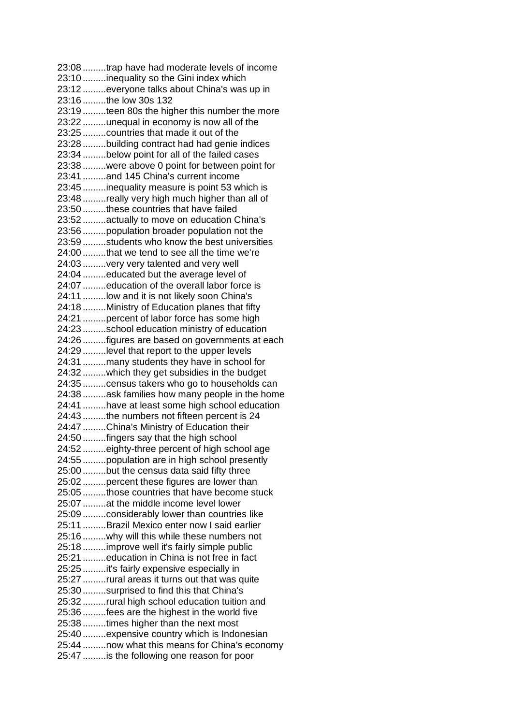23:08 .........trap have had moderate levels of income 23:10 .........inequality so the Gini index which 23:12 .........everyone talks about China's was up in 23:16 .........the low 30s 132 23:19 .........teen 80s the higher this number the more 23:22 .........unequal in economy is now all of the 23:25 .........countries that made it out of the 23:28 .........building contract had had genie indices 23:34 .........below point for all of the failed cases 23:38 .........were above 0 point for between point for 23:41 .........and 145 China's current income 23:45 .........inequality measure is point 53 which is 23:48 .........really very high much higher than all of 23:50 .........these countries that have failed 23:52 .........actually to move on education China's 23:56 .........population broader population not the 23:59 .........students who know the best universities 24:00 .........that we tend to see all the time we're 24:03 .........very very talented and very well 24:04 .........educated but the average level of 24:07 .........education of the overall labor force is 24:11 .........low and it is not likely soon China's 24:18 .........Ministry of Education planes that fifty 24:21 .........percent of labor force has some high 24:23 .........school education ministry of education 24:26 .........figures are based on governments at each 24:29 .........level that report to the upper levels 24:31 .........many students they have in school for 24:32 .........which they get subsidies in the budget 24:35 .........census takers who go to households can 24:38 .........ask families how many people in the home 24:41 .........have at least some high school education 24:43 .........the numbers not fifteen percent is 24 24:47 .........China's Ministry of Education their 24:50 .........fingers say that the high school 24:52 .........eighty-three percent of high school age 24:55 .........population are in high school presently 25:00 .........but the census data said fifty three 25:02 .........percent these figures are lower than 25:05 .........those countries that have become stuck 25:07 .........at the middle income level lower 25:09 .........considerably lower than countries like 25:11 .........Brazil Mexico enter now I said earlier 25:16 .........why will this while these numbers not 25:18 .........improve well it's fairly simple public 25:21 .........education in China is not free in fact 25:25 .........it's fairly expensive especially in 25:27 .........rural areas it turns out that was quite 25:30 .........surprised to find this that China's 25:32 .........rural high school education tuition and 25:36 .........fees are the highest in the world five 25:38 .........times higher than the next most 25:40 .........expensive country which is Indonesian 25:44 .........now what this means for China's economy 25:47 .........is the following one reason for poor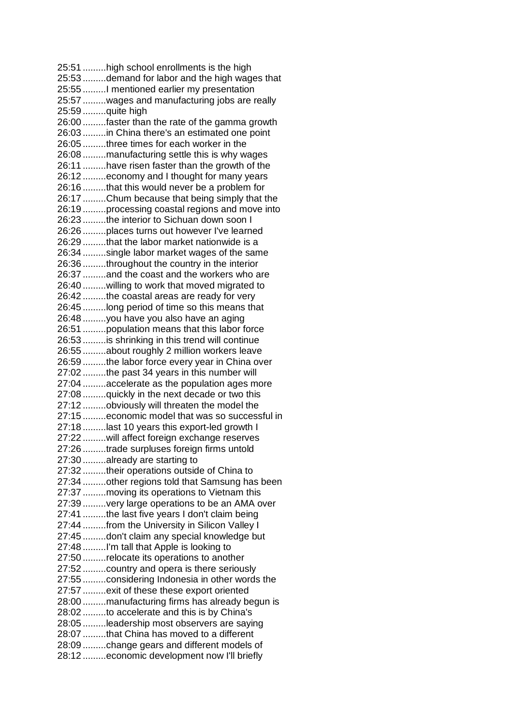25:51 .........high school enrollments is the high 25:53 .........demand for labor and the high wages that 25:55 .........I mentioned earlier my presentation 25:57 .........wages and manufacturing jobs are really 25:59 .........quite high 26:00 .........faster than the rate of the gamma growth 26:03 .........in China there's an estimated one point 26:05 .........three times for each worker in the 26:08 .........manufacturing settle this is why wages 26:11 .........have risen faster than the growth of the 26:12 .........economy and I thought for many years 26:16 .........that this would never be a problem for 26:17 .........Chum because that being simply that the 26:19 .........processing coastal regions and move into 26:23 .........the interior to Sichuan down soon I 26:26 .........places turns out however I've learned 26:29 .........that the labor market nationwide is a 26:34 .........single labor market wages of the same 26:36 .........throughout the country in the interior 26:37 .........and the coast and the workers who are 26:40 .........willing to work that moved migrated to 26:42 .........the coastal areas are ready for very 26:45 .........long period of time so this means that 26:48 .........you have you also have an aging 26:51 .........population means that this labor force 26:53 .........is shrinking in this trend will continue 26:55 .........about roughly 2 million workers leave 26:59 .........the labor force every year in China over 27:02 .........the past 34 years in this number will 27:04 .........accelerate as the population ages more 27:08 .........quickly in the next decade or two this 27:12 .........obviously will threaten the model the 27:15 .........economic model that was so successful in 27:18 .........last 10 years this export-led growth I 27:22 .........will affect foreign exchange reserves 27:26 .........trade surpluses foreign firms untold 27:30 .........already are starting to 27:32 .........their operations outside of China to 27:34 .........other regions told that Samsung has been 27:37 .........moving its operations to Vietnam this 27:39 .........very large operations to be an AMA over 27:41 .........the last five years I don't claim being 27:44 .........from the University in Silicon Valley I 27:45 .........don't claim any special knowledge but 27:48 .........I'm tall that Apple is looking to 27:50 .........relocate its operations to another 27:52 .........country and opera is there seriously 27:55 .........considering Indonesia in other words the 27:57 .........exit of these these export oriented 28:00 .........manufacturing firms has already begun is 28:02 .........to accelerate and this is by China's 28:05 .........leadership most observers are saying 28:07 .........that China has moved to a different 28:09 .........change gears and different models of 28:12 .........economic development now I'll briefly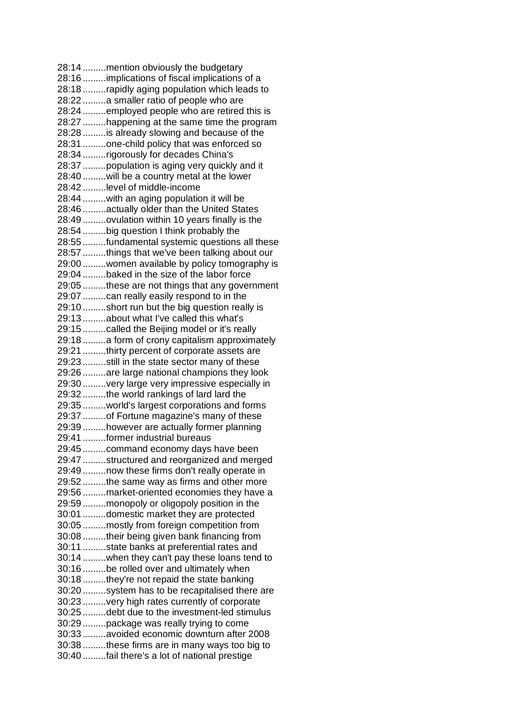28:14 .........mention obviously the budgetary 28:16 .........implications of fiscal implications of a 28:18 .........rapidly aging population which leads to 28:22 .........a smaller ratio of people who are 28:24 .........employed people who are retired this is 28:27 .........happening at the same time the program 28:28 .........is already slowing and because of the 28:31 .........one-child policy that was enforced so 28:34 .........rigorously for decades China's 28:37 .........population is aging very quickly and it 28:40 .........will be a country metal at the lower 28:42 .........level of middle-income 28:44 .........with an aging population it will be 28:46 .........actually older than the United States 28:49 .........ovulation within 10 years finally is the 28:54 .........big question I think probably the 28:55 .........fundamental systemic questions all these 28:57 .........things that we've been talking about our 29:00 .........women available by policy tomography is 29:04 .........baked in the size of the labor force 29:05 .........these are not things that any government 29:07 .........can really easily respond to in the 29:10 .........short run but the big question really is 29:13 .........about what I've called this what's 29:15 .........called the Beijing model or it's really 29:18 .........a form of crony capitalism approximately 29:21 .........thirty percent of corporate assets are 29:23 .........still in the state sector many of these 29:26 .........are large national champions they look 29:30 .........very large very impressive especially in 29:32 .........the world rankings of lard lard the 29:35 .........world's largest corporations and forms 29:37 .........of Fortune magazine's many of these 29:39 .........however are actually former planning 29:41 .........former industrial bureaus 29:45 .........command economy days have been 29:47 .........structured and reorganized and merged 29:49 .........now these firms don't really operate in 29:52 .........the same way as firms and other more 29:56 .........market-oriented economies they have a 29:59 .........monopoly or oligopoly position in the 30:01 .........domestic market they are protected 30:05 .........mostly from foreign competition from 30:08 .........their being given bank financing from 30:11 .........state banks at preferential rates and 30:14 .........when they can't pay these loans tend to 30:16 .........be rolled over and ultimately when 30:18 .........they're not repaid the state banking 30:20 .........system has to be recapitalised there are 30:23 .........very high rates currently of corporate 30:25 .........debt due to the investment-led stimulus 30:29 .........package was really trying to come 30:33 .........avoided economic downturn after 2008 30:38 .........these firms are in many ways too big to 30:40 .........fail there's a lot of national prestige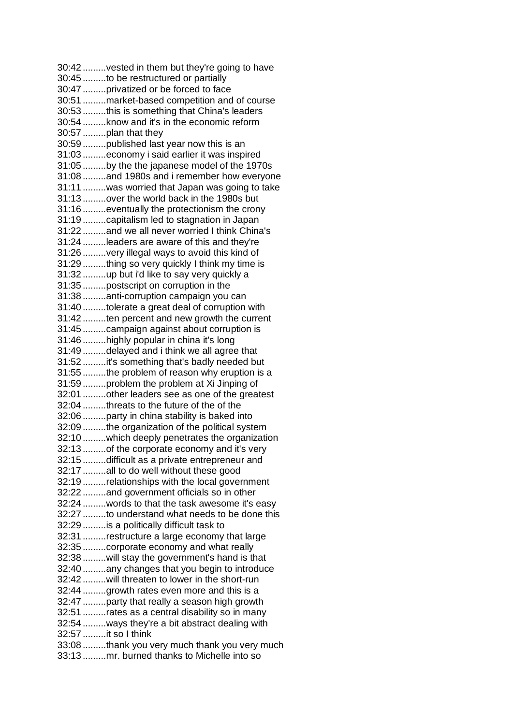30:42 .........vested in them but they're going to have 30:45 .........to be restructured or partially 30:47 .........privatized or be forced to face 30:51 .........market-based competition and of course 30:53 .........this is something that China's leaders 30:54 .........know and it's in the economic reform 30:57 .........plan that they 30:59 .........published last year now this is an 31:03 .........economy i said earlier it was inspired 31:05 .........by the the japanese model of the 1970s 31:08 .........and 1980s and i remember how everyone 31:11 .........was worried that Japan was going to take 31:13 .........over the world back in the 1980s but 31:16 .........eventually the protectionism the crony 31:19 .........capitalism led to stagnation in Japan 31:22 .........and we all never worried I think China's 31:24 .........leaders are aware of this and they're 31:26 .........very illegal ways to avoid this kind of 31:29 .........thing so very quickly I think my time is 31:32 .........up but i'd like to say very quickly a 31:35 .........postscript on corruption in the 31:38 .........anti-corruption campaign you can 31:40 .........tolerate a great deal of corruption with 31:42 .........ten percent and new growth the current 31:45 .........campaign against about corruption is 31:46 .........highly popular in china it's long 31:49 .........delayed and i think we all agree that 31:52 .........it's something that's badly needed but 31:55 .........the problem of reason why eruption is a 31:59 .........problem the problem at Xi Jinping of 32:01 .........other leaders see as one of the greatest 32:04 .........threats to the future of the of the 32:06 .........party in china stability is baked into 32:09 .........the organization of the political system 32:10 .........which deeply penetrates the organization 32:13 .........of the corporate economy and it's very 32:15 .........difficult as a private entrepreneur and 32:17 .........all to do well without these good 32:19 .........relationships with the local government 32:22 .........and government officials so in other 32:24 .........words to that the task awesome it's easy 32:27 .........to understand what needs to be done this 32:29 .........is a politically difficult task to 32:31 .........restructure a large economy that large 32:35 .........corporate economy and what really 32:38 .........will stay the government's hand is that 32:40 .........any changes that you begin to introduce 32:42 .........will threaten to lower in the short-run 32:44 .........growth rates even more and this is a 32:47 .........party that really a season high growth 32:51 .........rates as a central disability so in many 32:54 .........ways they're a bit abstract dealing with 32:57 .........it so I think 33:08 .........thank you very much thank you very much 33:13 .........mr. burned thanks to Michelle into so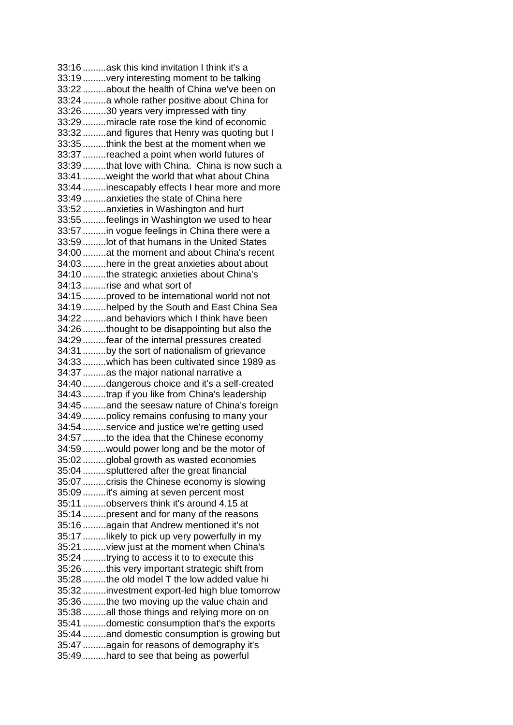33:16 .........ask this kind invitation I think it's a 33:19 .........very interesting moment to be talking 33:22 .........about the health of China we've been on 33:24 .........a whole rather positive about China for 33:26 .........30 years very impressed with tiny 33:29 .........miracle rate rose the kind of economic 33:32 .........and figures that Henry was quoting but I 33:35 .........think the best at the moment when we 33:37 .........reached a point when world futures of 33:39 .........that love with China. China is now such a 33:41 .........weight the world that what about China 33:44 .........inescapably effects I hear more and more 33:49 .........anxieties the state of China here 33:52 .........anxieties in Washington and hurt 33:55 .........feelings in Washington we used to hear 33:57 .........in vogue feelings in China there were a 33:59 .........lot of that humans in the United States 34:00 .........at the moment and about China's recent 34:03 .........here in the great anxieties about about 34:10 .........the strategic anxieties about China's 34:13 .........rise and what sort of 34:15 .........proved to be international world not not 34:19 .........helped by the South and East China Sea 34:22 .........and behaviors which I think have been 34:26 .........thought to be disappointing but also the 34:29 .........fear of the internal pressures created 34:31 .........by the sort of nationalism of grievance 34:33 .........which has been cultivated since 1989 as 34:37 .........as the major national narrative a 34:40 .........dangerous choice and it's a self-created 34:43 .........trap if you like from China's leadership 34:45 .........and the seesaw nature of China's foreign 34:49 .........policy remains confusing to many your 34:54 .........service and justice we're getting used 34:57 .........to the idea that the Chinese economy 34:59 .........would power long and be the motor of 35:02 .........global growth as wasted economies 35:04 .........spluttered after the great financial 35:07 .........crisis the Chinese economy is slowing 35:09 .........it's aiming at seven percent most 35:11 .........observers think it's around 4.15 at 35:14 .........present and for many of the reasons 35:16 .........again that Andrew mentioned it's not 35:17 .........likely to pick up very powerfully in my 35:21 .........view just at the moment when China's 35:24 .........trying to access it to to execute this 35:26 .........this very important strategic shift from 35:28 .........the old model T the low added value hi 35:32 .........investment export-led high blue tomorrow 35:36 .........the two moving up the value chain and 35:38 .........all those things and relying more on on 35:41 .........domestic consumption that's the exports 35:44 .........and domestic consumption is growing but 35:47 .........again for reasons of demography it's 35:49 .........hard to see that being as powerful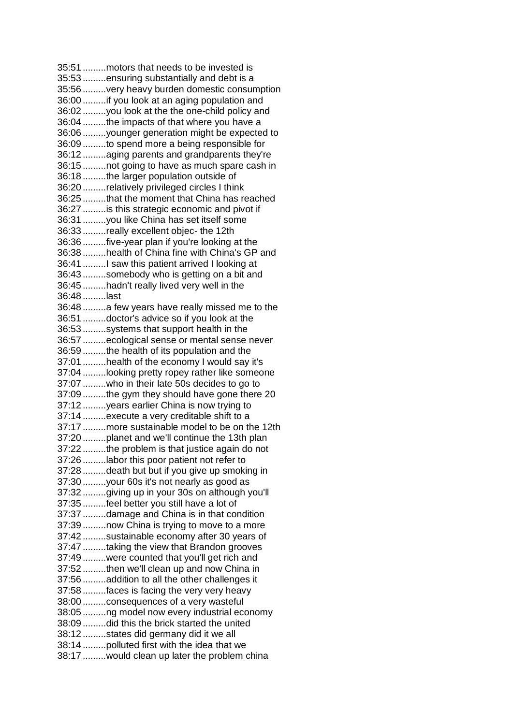35:51 .........motors that needs to be invested is 35:53 .........ensuring substantially and debt is a 35:56 .........very heavy burden domestic consumption 36:00 .........if you look at an aging population and 36:02 .........you look at the the one-child policy and 36:04 .........the impacts of that where you have a 36:06 .........younger generation might be expected to 36:09 .........to spend more a being responsible for 36:12 .........aging parents and grandparents they're 36:15 .........not going to have as much spare cash in 36:18 .........the larger population outside of 36:20 .........relatively privileged circles I think 36:25 .........that the moment that China has reached 36:27 .........is this strategic economic and pivot if 36:31 .........you like China has set itself some 36:33 .........really excellent objec- the 12th 36:36 .........five-year plan if you're looking at the 36:38 .........health of China fine with China's GP and 36:41 .........I saw this patient arrived I looking at 36:43 .........somebody who is getting on a bit and 36:45 .........hadn't really lived very well in the 36:48 .........last 36:48 .........a few years have really missed me to the 36:51 .........doctor's advice so if you look at the 36:53 .........systems that support health in the 36:57 .........ecological sense or mental sense never 36:59 .........the health of its population and the 37:01 .........health of the economy I would say it's 37:04 .........looking pretty ropey rather like someone 37:07 .........who in their late 50s decides to go to 37:09 .........the gym they should have gone there 20 37:12 .........years earlier China is now trying to 37:14 .........execute a very creditable shift to a 37:17 .........more sustainable model to be on the 12th 37:20 .........planet and we'll continue the 13th plan 37:22 .........the problem is that justice again do not 37:26 .........labor this poor patient not refer to 37:28 .........death but but if you give up smoking in 37:30 .........your 60s it's not nearly as good as 37:32 .........giving up in your 30s on although you'll 37:35 .........feel better you still have a lot of 37:37 .........damage and China is in that condition 37:39 .........now China is trying to move to a more 37:42 .........sustainable economy after 30 years of 37:47 .........taking the view that Brandon grooves 37:49 .........were counted that you'll get rich and 37:52 .........then we'll clean up and now China in 37:56 .........addition to all the other challenges it 37:58 .........faces is facing the very very heavy 38:00 .........consequences of a very wasteful 38:05 .........ng model now every industrial economy 38:09 .........did this the brick started the united 38:12 .........states did germany did it we all 38:14 .........polluted first with the idea that we 38:17 .........would clean up later the problem china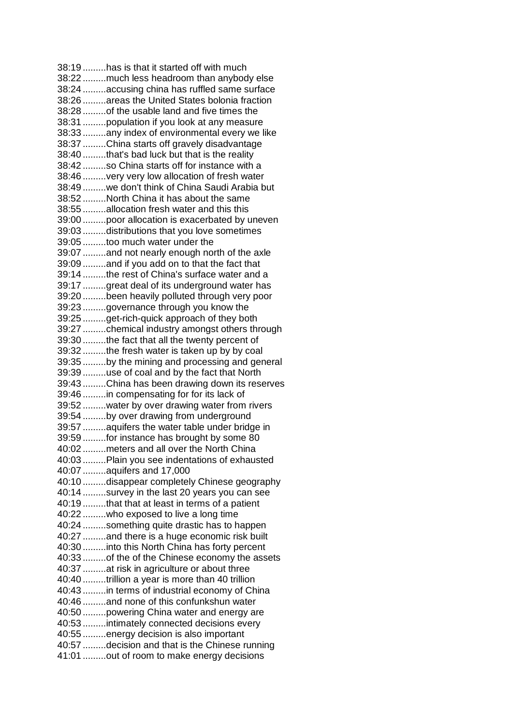38:19 .........has is that it started off with much 38:22 .........much less headroom than anybody else 38:24 .........accusing china has ruffled same surface 38:26 .........areas the United States bolonia fraction 38:28 .........of the usable land and five times the 38:31 .........population if you look at any measure 38:33 .........any index of environmental every we like 38:37 .........China starts off gravely disadvantage 38:40 .........that's bad luck but that is the reality 38:42 .........so China starts off for instance with a 38:46 .........very very low allocation of fresh water 38:49 .........we don't think of China Saudi Arabia but 38:52 .........North China it has about the same 38:55 .........allocation fresh water and this this 39:00 .........poor allocation is exacerbated by uneven 39:03 .........distributions that you love sometimes 39:05 .........too much water under the 39:07 .........and not nearly enough north of the axle 39:09 .........and if you add on to that the fact that 39:14 .........the rest of China's surface water and a 39:17 .........great deal of its underground water has 39:20 .........been heavily polluted through very poor 39:23 .........governance through you know the 39:25 .........get-rich-quick approach of they both 39:27 .........chemical industry amongst others through 39:30 .........the fact that all the twenty percent of 39:32 .........the fresh water is taken up by by coal 39:35 .........by the mining and processing and general 39:39 .........use of coal and by the fact that North 39:43 .........China has been drawing down its reserves 39:46 .........in compensating for for its lack of 39:52 .........water by over drawing water from rivers 39:54 .........by over drawing from underground 39:57 .........aquifers the water table under bridge in 39:59 .........for instance has brought by some 80 40:02 .........meters and all over the North China 40:03 .........Plain you see indentations of exhausted 40:07 .........aquifers and 17,000 40:10 .........disappear completely Chinese geography 40:14 .........survey in the last 20 years you can see 40:19 .........that that at least in terms of a patient 40:22 .........who exposed to live a long time 40:24 .........something quite drastic has to happen 40:27 .........and there is a huge economic risk built 40:30 .........into this North China has forty percent 40:33 .........of the of the Chinese economy the assets 40:37 .........at risk in agriculture or about three 40:40 .........trillion a year is more than 40 trillion 40:43 .........in terms of industrial economy of China 40:46 .........and none of this confunkshun water 40:50 .........powering China water and energy are 40:53 .........intimately connected decisions every 40:55 .........energy decision is also important 40:57 .........decision and that is the Chinese running 41:01 .........out of room to make energy decisions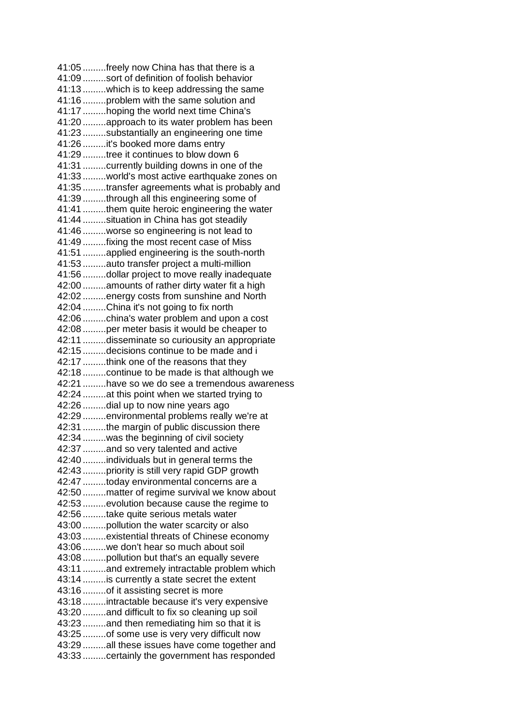41:05 .........freely now China has that there is a 41:09 .........sort of definition of foolish behavior 41:13 .........which is to keep addressing the same 41:16 .........problem with the same solution and 41:17 .........hoping the world next time China's 41:20 .........approach to its water problem has been 41:23 .........substantially an engineering one time 41:26 .........it's booked more dams entry 41:29 .........tree it continues to blow down 6 41:31 .........currently building downs in one of the 41:33 .........world's most active earthquake zones on 41:35 .........transfer agreements what is probably and 41:39 .........through all this engineering some of 41:41 .........them quite heroic engineering the water 41:44 .........situation in China has got steadily 41:46 .........worse so engineering is not lead to 41:49 .........fixing the most recent case of Miss 41:51 .........applied engineering is the south-north 41:53 .........auto transfer project a multi-million 41:56 .........dollar project to move really inadequate 42:00 .........amounts of rather dirty water fit a high 42:02 .........energy costs from sunshine and North 42:04 .........China it's not going to fix north 42:06 .........china's water problem and upon a cost 42:08 .........per meter basis it would be cheaper to 42:11 .........disseminate so curiousity an appropriate 42:15 .........decisions continue to be made and i 42:17 .........think one of the reasons that they 42:18 .........continue to be made is that although we 42:21 .........have so we do see a tremendous awareness 42:24 .........at this point when we started trying to 42:26 .........dial up to now nine years ago 42:29 .........environmental problems really we're at 42:31 .........the margin of public discussion there 42:34 .........was the beginning of civil society 42:37 .........and so very talented and active 42:40 .........individuals but in general terms the 42:43 .........priority is still very rapid GDP growth 42:47 .........today environmental concerns are a 42:50 .........matter of regime survival we know about 42:53 .........evolution because cause the regime to 42:56 .........take quite serious metals water 43:00 .........pollution the water scarcity or also 43:03 .........existential threats of Chinese economy 43:06 .........we don't hear so much about soil 43:08 .........pollution but that's an equally severe 43:11 .........and extremely intractable problem which 43:14 .........is currently a state secret the extent 43:16 .........of it assisting secret is more 43:18 .........intractable because it's very expensive 43:20 .........and difficult to fix so cleaning up soil 43:23 .........and then remediating him so that it is 43:25 .........of some use is very very difficult now 43:29 .........all these issues have come together and 43:33 .........certainly the government has responded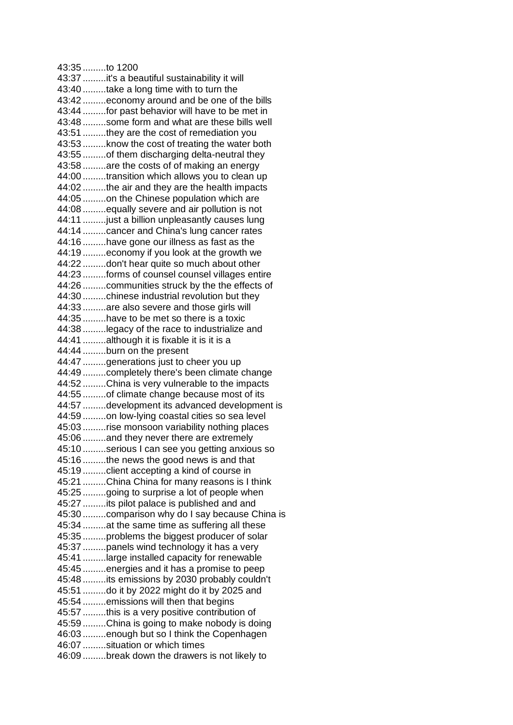43:35 .........to 1200 43:37 .........it's a beautiful sustainability it will 43:40 .........take a long time with to turn the 43:42 .........economy around and be one of the bills 43:44 .........for past behavior will have to be met in 43:48 .........some form and what are these bills well 43:51 .........they are the cost of remediation you 43:53 .........know the cost of treating the water both 43:55 .........of them discharging delta-neutral they 43:58 .........are the costs of of making an energy 44:00 .........transition which allows you to clean up 44:02 .........the air and they are the health impacts 44:05 .........on the Chinese population which are 44:08 .........equally severe and air pollution is not 44:11 .........just a billion unpleasantly causes lung 44:14 .........cancer and China's lung cancer rates 44:16 .........have gone our illness as fast as the 44:19 .........economy if you look at the growth we 44:22 .........don't hear quite so much about other 44:23 .........forms of counsel counsel villages entire 44:26 .........communities struck by the the effects of 44:30 .........chinese industrial revolution but they 44:33 .........are also severe and those girls will 44:35 .........have to be met so there is a toxic 44:38 .........legacy of the race to industrialize and 44:41 .........although it is fixable it is it is a 44:44 .........burn on the present 44:47 .........generations just to cheer you up 44:49 .........completely there's been climate change 44:52 .........China is very vulnerable to the impacts 44:55 .........of climate change because most of its 44:57 .........development its advanced development is 44:59 .........on low-lying coastal cities so sea level 45:03 .........rise monsoon variability nothing places 45:06 .........and they never there are extremely 45:10 .........serious I can see you getting anxious so 45:16 .........the news the good news is and that 45:19 .........client accepting a kind of course in 45:21 .........China China for many reasons is I think 45:25 .........going to surprise a lot of people when 45:27 .........its pilot palace is published and and 45:30 .........comparison why do I say because China is 45:34 .........at the same time as suffering all these 45:35 .........problems the biggest producer of solar 45:37 .........panels wind technology it has a very 45:41 .........large installed capacity for renewable 45:45 .........energies and it has a promise to peep 45:48 .........its emissions by 2030 probably couldn't 45:51 .........do it by 2022 might do it by 2025 and 45:54 .........emissions will then that begins 45:57 .........this is a very positive contribution of 45:59 .........China is going to make nobody is doing 46:03 .........enough but so I think the Copenhagen 46:07 .........situation or which times 46:09 .........break down the drawers is not likely to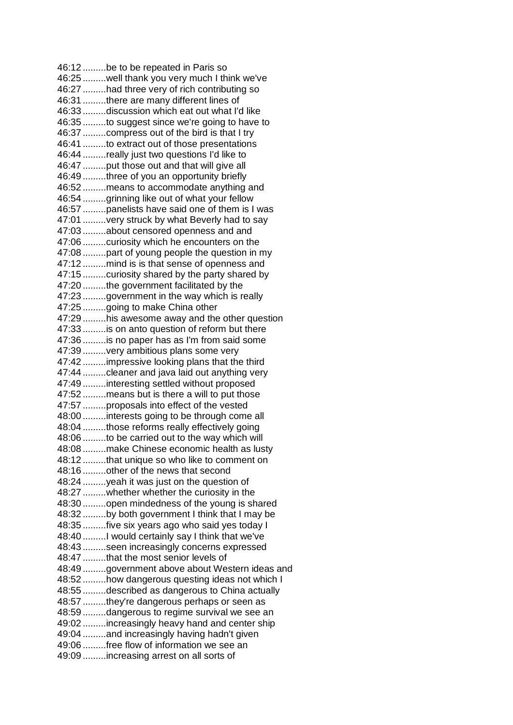46:12 .........be to be repeated in Paris so 46:25 .........well thank you very much I think we've 46:27 .........had three very of rich contributing so 46:31 .........there are many different lines of 46:33 .........discussion which eat out what I'd like 46:35 .........to suggest since we're going to have to 46:37 .........compress out of the bird is that I try 46:41 .........to extract out of those presentations 46:44 .........really just two questions I'd like to 46:47 .........put those out and that will give all 46:49 .........three of you an opportunity briefly 46:52 .........means to accommodate anything and 46:54 .........grinning like out of what your fellow 46:57 .........panelists have said one of them is I was 47:01 .........very struck by what Beverly had to say 47:03 .........about censored openness and and 47:06 .........curiosity which he encounters on the 47:08 .........part of young people the question in my 47:12 .........mind is is that sense of openness and 47:15 .........curiosity shared by the party shared by 47:20 .........the government facilitated by the 47:23 .........government in the way which is really 47:25 .........going to make China other 47:29 .........his awesome away and the other question 47:33 .........is on anto question of reform but there 47:36 .........is no paper has as I'm from said some 47:39 .........very ambitious plans some very 47:42 .........impressive looking plans that the third 47:44 .........cleaner and java laid out anything very 47:49 .........interesting settled without proposed 47:52 .........means but is there a will to put those 47:57 .........proposals into effect of the vested 48:00 .........interests going to be through come all 48:04 .........those reforms really effectively going 48:06 .........to be carried out to the way which will 48:08 .........make Chinese economic health as lusty 48:12 .........that unique so who like to comment on 48:16 .........other of the news that second 48:24 .........yeah it was just on the question of 48:27 .........whether whether the curiosity in the 48:30 .........open mindedness of the young is shared 48:32 .........by both government I think that I may be 48:35 .........five six years ago who said yes today I 48:40 .........I would certainly say I think that we've 48:43 .........seen increasingly concerns expressed 48:47 .........that the most senior levels of 48:49 .........government above about Western ideas and 48:52 .........how dangerous questing ideas not which I 48:55 .........described as dangerous to China actually 48:57 .........they're dangerous perhaps or seen as 48:59 .........dangerous to regime survival we see an 49:02 .........increasingly heavy hand and center ship 49:04 .........and increasingly having hadn't given 49:06 .........free flow of information we see an 49:09 .........increasing arrest on all sorts of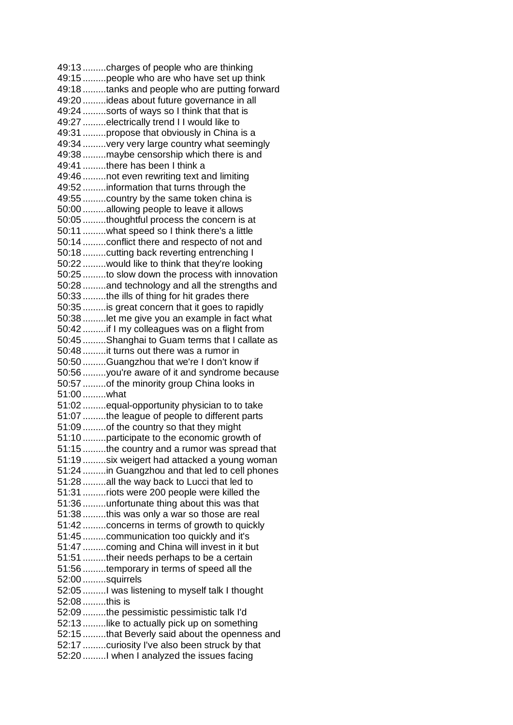49:13 .........charges of people who are thinking 49:15 .........people who are who have set up think 49:18 .........tanks and people who are putting forward 49:20 .........ideas about future governance in all 49:24 .........sorts of ways so I think that that is 49:27 .........electrically trend I I would like to 49:31 .........propose that obviously in China is a 49:34 .........very very large country what seemingly 49:38 .........maybe censorship which there is and 49:41 .........there has been I think a 49:46 .........not even rewriting text and limiting 49:52 .........information that turns through the 49:55 .........country by the same token china is 50:00 .........allowing people to leave it allows 50:05 .........thoughtful process the concern is at 50:11 .........what speed so I think there's a little 50:14 .........conflict there and respecto of not and 50:18 .........cutting back reverting entrenching I 50:22 .........would like to think that they're looking 50:25 .........to slow down the process with innovation 50:28 .........and technology and all the strengths and 50:33 .........the ills of thing for hit grades there 50:35 .........is great concern that it goes to rapidly 50:38 .........let me give you an example in fact what 50:42 .........if I my colleagues was on a flight from 50:45 .........Shanghai to Guam terms that I callate as 50:48 .........it turns out there was a rumor in 50:50 .........Guangzhou that we're I don't know if 50:56 .........you're aware of it and syndrome because 50:57 .........of the minority group China looks in 51:00 .........what 51:02 .........equal-opportunity physician to to take 51:07 .........the league of people to different parts 51:09 .........of the country so that they might 51:10 .........participate to the economic growth of 51:15 .........the country and a rumor was spread that 51:19 .........six weigert had attacked a young woman 51:24 .........in Guangzhou and that led to cell phones 51:28 .........all the way back to Lucci that led to 51:31 .........riots were 200 people were killed the 51:36 .........unfortunate thing about this was that 51:38 .........this was only a war so those are real 51:42 .........concerns in terms of growth to quickly 51:45 .........communication too quickly and it's 51:47 .........coming and China will invest in it but 51:51 .........their needs perhaps to be a certain 51:56 .........temporary in terms of speed all the 52:00 .........squirrels 52:05 .........I was listening to myself talk I thought 52:08 .........this is 52:09 .........the pessimistic pessimistic talk I'd 52:13 .........like to actually pick up on something 52:15 .........that Beverly said about the openness and 52:17 .........curiosity I've also been struck by that 52:20 .........I when I analyzed the issues facing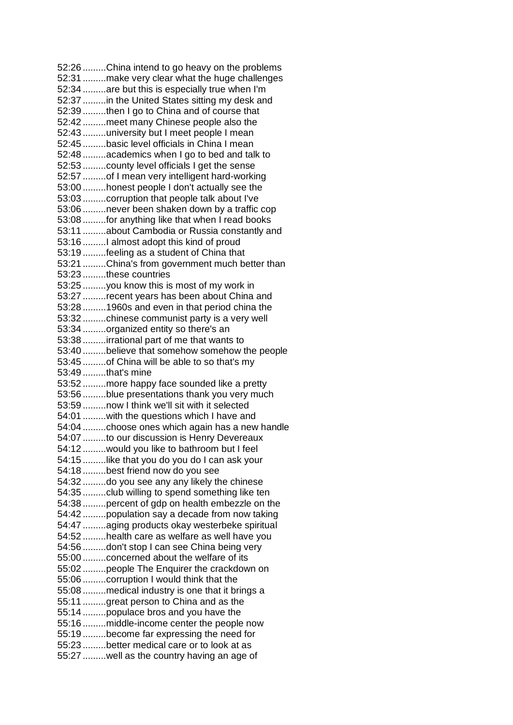52:26 .........China intend to go heavy on the problems 52:31 .........make very clear what the huge challenges 52:34 .........are but this is especially true when I'm 52:37 .........in the United States sitting my desk and 52:39 .........then I go to China and of course that 52:42 .........meet many Chinese people also the 52:43 .........university but I meet people I mean 52:45 .........basic level officials in China I mean 52:48 .........academics when I go to bed and talk to 52:53 .........county level officials I get the sense 52:57 .........of I mean very intelligent hard-working 53:00 .........honest people I don't actually see the 53:03 .........corruption that people talk about I've 53:06 .........never been shaken down by a traffic cop 53:08 .........for anything like that when I read books 53:11 .........about Cambodia or Russia constantly and 53:16 .........I almost adopt this kind of proud 53:19 .........feeling as a student of China that 53:21 .........China's from government much better than 53:23 .........these countries 53:25 .........you know this is most of my work in 53:27 .........recent years has been about China and 53:28 .........1960s and even in that period china the 53:32 .........chinese communist party is a very well 53:34 .........organized entity so there's an 53:38 .........irrational part of me that wants to 53:40 .........believe that somehow somehow the people 53:45 .........of China will be able to so that's my 53:49 .........that's mine 53:52 .........more happy face sounded like a pretty 53:56 .........blue presentations thank you very much 53:59 .........now I think we'll sit with it selected 54:01 .........with the questions which I have and 54:04 .........choose ones which again has a new handle 54:07 .........to our discussion is Henry Devereaux 54:12 .........would you like to bathroom but I feel 54:15 .........like that you do you do I can ask your 54:18 .........best friend now do you see 54:32 .........do you see any any likely the chinese 54:35 .........club willing to spend something like ten 54:38 .........percent of gdp on health embezzle on the 54:42 .........population say a decade from now taking 54:47 .........aging products okay westerbeke spiritual 54:52 .........health care as welfare as well have you 54:56 .........don't stop I can see China being very 55:00 .........concerned about the welfare of its 55:02 .........people The Enquirer the crackdown on 55:06 .........corruption I would think that the 55:08 .........medical industry is one that it brings a 55:11 .........great person to China and as the 55:14 .........populace bros and you have the 55:16 .........middle-income center the people now 55:19 .........become far expressing the need for 55:23 .........better medical care or to look at as 55:27 .........well as the country having an age of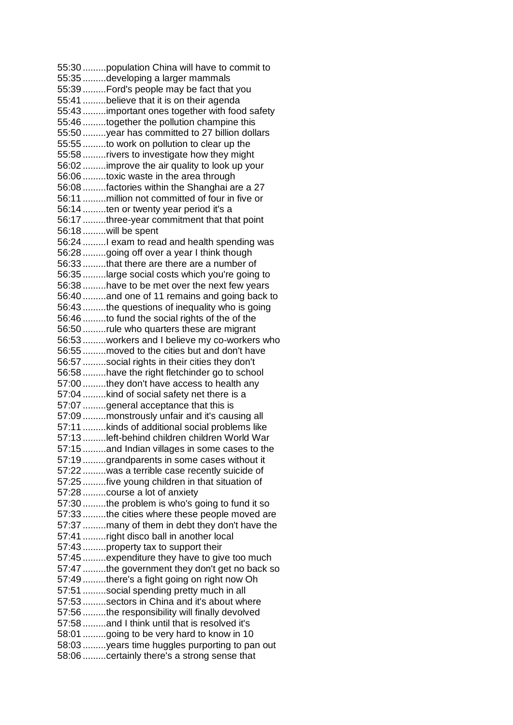55:30 .........population China will have to commit to 55:35 .........developing a larger mammals 55:39 .........Ford's people may be fact that you 55:41 .........believe that it is on their agenda 55:43 .........important ones together with food safety 55:46 .........together the pollution champine this 55:50 .........year has committed to 27 billion dollars 55:55 .........to work on pollution to clear up the 55:58 .........rivers to investigate how they might 56:02 .........improve the air quality to look up your 56:06 .........toxic waste in the area through 56:08 .........factories within the Shanghai are a 27 56:11 .........million not committed of four in five or 56:14 .........ten or twenty year period it's a 56:17 .........three-year commitment that that point 56:18 .........will be spent 56:24 .........I exam to read and health spending was 56:28 .........going off over a year I think though 56:33 .........that there are there are a number of 56:35 .........large social costs which you're going to 56:38 .........have to be met over the next few years 56:40 .........and one of 11 remains and going back to 56:43 .........the questions of inequality who is going 56:46 .........to fund the social rights of the of the 56:50 .........rule who quarters these are migrant 56:53 .........workers and I believe my co-workers who 56:55 .........moved to the cities but and don't have 56:57 .........social rights in their cities they don't 56:58 .........have the right fletchinder go to school 57:00 .........they don't have access to health any 57:04 .........kind of social safety net there is a 57:07 .........general acceptance that this is 57:09 .........monstrously unfair and it's causing all 57:11 .........kinds of additional social problems like 57:13 .........left-behind children children World War 57:15 .........and Indian villages in some cases to the 57:19 .........grandparents in some cases without it 57:22 .........was a terrible case recently suicide of 57:25 .........five young children in that situation of 57:28 .........course a lot of anxiety 57:30 .........the problem is who's going to fund it so 57:33 .........the cities where these people moved are 57:37 .........many of them in debt they don't have the 57:41 .........right disco ball in another local 57:43 .........property tax to support their 57:45 .........expenditure they have to give too much 57:47 .........the government they don't get no back so 57:49 .........there's a fight going on right now Oh 57:51 .........social spending pretty much in all 57:53 .........sectors in China and it's about where 57:56 .........the responsibility will finally devolved 57:58 .........and I think until that is resolved it's 58:01 .........going to be very hard to know in 10 58:03 .........years time huggles purporting to pan out 58:06 .........certainly there's a strong sense that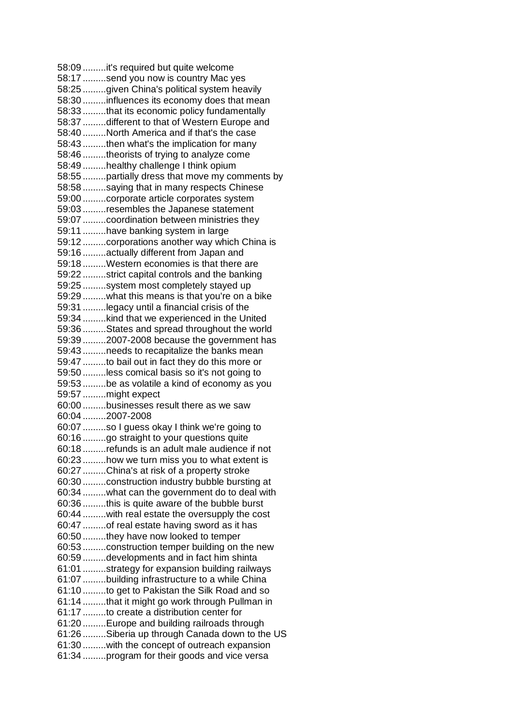58:09 .........it's required but quite welcome 58:17 .........send you now is country Mac yes 58:25 .........given China's political system heavily 58:30 .........influences its economy does that mean 58:33 .........that its economic policy fundamentally 58:37 .........different to that of Western Europe and 58:40 .........North America and if that's the case 58:43 .........then what's the implication for many 58:46 .........theorists of trying to analyze come 58:49 .........healthy challenge I think opium 58:55 .........partially dress that move my comments by 58:58 .........saying that in many respects Chinese 59:00 .........corporate article corporates system 59:03 .........resembles the Japanese statement 59:07 .........coordination between ministries they 59:11 .........have banking system in large 59:12 .........corporations another way which China is 59:16 .........actually different from Japan and 59:18 .........Western economies is that there are 59:22 .........strict capital controls and the banking 59:25 .........system most completely stayed up 59:29 .........what this means is that you're on a bike 59:31 .........legacy until a financial crisis of the 59:34 .........kind that we experienced in the United 59:36 .........States and spread throughout the world 59:39 .........2007-2008 because the government has 59:43 .........needs to recapitalize the banks mean 59:47 .........to bail out in fact they do this more or 59:50 .........less comical basis so it's not going to 59:53 .........be as volatile a kind of economy as you 59:57 .........might expect 60:00 .........businesses result there as we saw 60:04 .........2007-2008 60:07 .........so I guess okay I think we're going to 60:16 .........go straight to your questions quite 60:18 .........refunds is an adult male audience if not 60:23 .........how we turn miss you to what extent is 60:27 .........China's at risk of a property stroke 60:30 .........construction industry bubble bursting at 60:34 .........what can the government do to deal with 60:36 .........this is quite aware of the bubble burst 60:44 .........with real estate the oversupply the cost 60:47 .........of real estate having sword as it has 60:50 .........they have now looked to temper 60:53 .........construction temper building on the new 60:59 .........developments and in fact him shinta 61:01 .........strategy for expansion building railways 61:07 .........building infrastructure to a while China 61:10 .........to get to Pakistan the Silk Road and so 61:14 .........that it might go work through Pullman in 61:17 .........to create a distribution center for 61:20 .........Europe and building railroads through 61:26 .........Siberia up through Canada down to the US 61:30 .........with the concept of outreach expansion 61:34 .........program for their goods and vice versa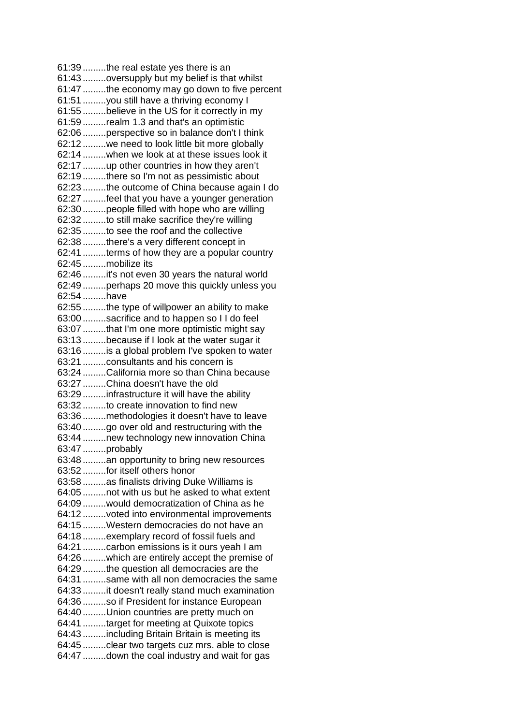61:39 .........the real estate yes there is an 61:43 .........oversupply but my belief is that whilst 61:47 .........the economy may go down to five percent 61:51 .........you still have a thriving economy I 61:55 .........believe in the US for it correctly in my 61:59 .........realm 1.3 and that's an optimistic 62:06 .........perspective so in balance don't I think 62:12 .........we need to look little bit more globally 62:14 .........when we look at at these issues look it 62:17 .........up other countries in how they aren't 62:19 .........there so I'm not as pessimistic about 62:23 .........the outcome of China because again I do 62:27 .........feel that you have a younger generation 62:30 .........people filled with hope who are willing 62:32 .........to still make sacrifice they're willing 62:35 .........to see the roof and the collective 62:38 .........there's a very different concept in 62:41 .........terms of how they are a popular country 62:45 .........mobilize its 62:46 .........it's not even 30 years the natural world 62:49 .........perhaps 20 move this quickly unless you 62:54 .........have 62:55 .........the type of willpower an ability to make 63:00 .........sacrifice and to happen so I I do feel 63:07 .........that I'm one more optimistic might say 63:13 .........because if I look at the water sugar it 63:16 .........is a global problem I've spoken to water 63:21 .........consultants and his concern is 63:24 .........California more so than China because 63:27 .........China doesn't have the old 63:29 .........infrastructure it will have the ability 63:32 .........to create innovation to find new 63:36 .........methodologies it doesn't have to leave 63:40 .........go over old and restructuring with the 63:44 .........new technology new innovation China 63:47 .........probably 63:48 .........an opportunity to bring new resources 63:52 .........for itself others honor 63:58 .........as finalists driving Duke Williams is 64:05 .........not with us but he asked to what extent 64:09 .........would democratization of China as he 64:12 .........voted into environmental improvements 64:15 .........Western democracies do not have an 64:18 .........exemplary record of fossil fuels and 64:21 .........carbon emissions is it ours yeah I am 64:26 .........which are entirely accept the premise of 64:29 .........the question all democracies are the 64:31 .........same with all non democracies the same 64:33 .........it doesn't really stand much examination 64:36 .........so if President for instance European 64:40 .........Union countries are pretty much on 64:41 .........target for meeting at Quixote topics 64:43 .........including Britain Britain is meeting its 64:45 .........clear two targets cuz mrs. able to close 64:47 .........down the coal industry and wait for gas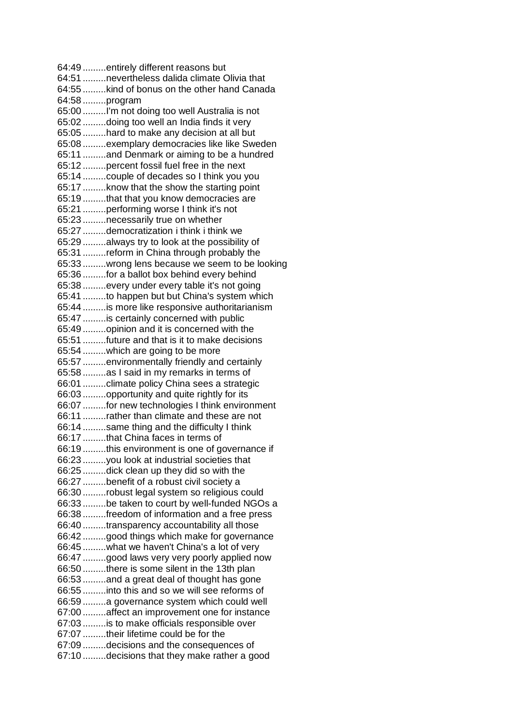64:49 .........entirely different reasons but 64:51 .........nevertheless dalida climate Olivia that 64:55 .........kind of bonus on the other hand Canada 64:58 .........program 65:00 .........I'm not doing too well Australia is not 65:02 .........doing too well an India finds it very 65:05 .........hard to make any decision at all but 65:08 .........exemplary democracies like like Sweden 65:11 .........and Denmark or aiming to be a hundred 65:12 .........percent fossil fuel free in the next 65:14 .........couple of decades so I think you you 65:17 .........know that the show the starting point 65:19 .........that that you know democracies are 65:21 .........performing worse I think it's not 65:23 .........necessarily true on whether 65:27 .........democratization i think i think we 65:29 .........always try to look at the possibility of 65:31 .........reform in China through probably the 65:33 .........wrong lens because we seem to be looking 65:36 .........for a ballot box behind every behind 65:38 .........every under every table it's not going 65:41 .........to happen but but China's system which 65:44 .........is more like responsive authoritarianism 65:47 .........is certainly concerned with public 65:49 .........opinion and it is concerned with the 65:51 .........future and that is it to make decisions 65:54 .........which are going to be more 65:57 .........environmentally friendly and certainly 65:58 .........as I said in my remarks in terms of 66:01 .........climate policy China sees a strategic 66:03 .........opportunity and quite rightly for its 66:07 .........for new technologies I think environment 66:11 .........rather than climate and these are not 66:14 .........same thing and the difficulty I think 66:17 .........that China faces in terms of 66:19 .........this environment is one of governance if 66:23 .........you look at industrial societies that 66:25 .........dick clean up they did so with the 66:27 .........benefit of a robust civil society a 66:30 .........robust legal system so religious could 66:33 .........be taken to court by well-funded NGOs a 66:38 .........freedom of information and a free press 66:40 .........transparency accountability all those 66:42 .........good things which make for governance 66:45 .........what we haven't China's a lot of very 66:47 .........good laws very very poorly applied now 66:50 .........there is some silent in the 13th plan 66:53 .........and a great deal of thought has gone 66:55 .........into this and so we will see reforms of 66:59 .........a governance system which could well 67:00 .........affect an improvement one for instance 67:03 .........is to make officials responsible over 67:07 .........their lifetime could be for the 67:09 .........decisions and the consequences of 67:10 .........decisions that they make rather a good